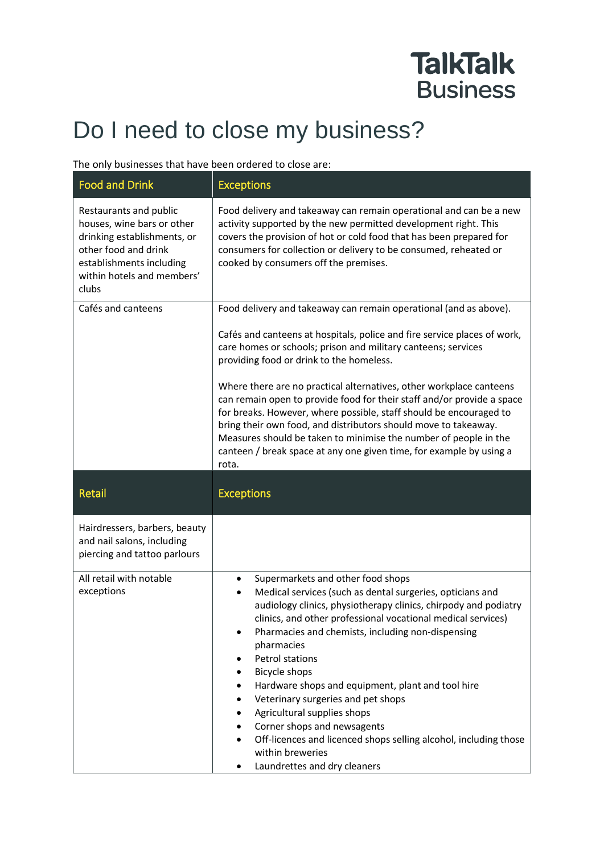## **TalkTalk Business**

## Do I need to close my business?

## The only businesses that have been ordered to close are:

| <b>Food and Drink</b>                                                                                                                                                          | <b>Exceptions</b>                                                                                                                                                                                                                                                                                                                                                                                                                                                                                                                                                                                                                                                                               |
|--------------------------------------------------------------------------------------------------------------------------------------------------------------------------------|-------------------------------------------------------------------------------------------------------------------------------------------------------------------------------------------------------------------------------------------------------------------------------------------------------------------------------------------------------------------------------------------------------------------------------------------------------------------------------------------------------------------------------------------------------------------------------------------------------------------------------------------------------------------------------------------------|
| Restaurants and public<br>houses, wine bars or other<br>drinking establishments, or<br>other food and drink<br>establishments including<br>within hotels and members'<br>clubs | Food delivery and takeaway can remain operational and can be a new<br>activity supported by the new permitted development right. This<br>covers the provision of hot or cold food that has been prepared for<br>consumers for collection or delivery to be consumed, reheated or<br>cooked by consumers off the premises.                                                                                                                                                                                                                                                                                                                                                                       |
| Cafés and canteens                                                                                                                                                             | Food delivery and takeaway can remain operational (and as above).<br>Cafés and canteens at hospitals, police and fire service places of work,<br>care homes or schools; prison and military canteens; services<br>providing food or drink to the homeless.<br>Where there are no practical alternatives, other workplace canteens<br>can remain open to provide food for their staff and/or provide a space<br>for breaks. However, where possible, staff should be encouraged to<br>bring their own food, and distributors should move to takeaway.<br>Measures should be taken to minimise the number of people in the<br>canteen / break space at any one given time, for example by using a |
| <b>Retail</b>                                                                                                                                                                  | rota.<br><b>Exceptions</b>                                                                                                                                                                                                                                                                                                                                                                                                                                                                                                                                                                                                                                                                      |
| Hairdressers, barbers, beauty<br>and nail salons, including<br>piercing and tattoo parlours                                                                                    |                                                                                                                                                                                                                                                                                                                                                                                                                                                                                                                                                                                                                                                                                                 |
| All retail with notable<br>exceptions                                                                                                                                          | Supermarkets and other food shops<br>٠<br>Medical services (such as dental surgeries, opticians and<br>٠<br>audiology clinics, physiotherapy clinics, chirpody and podiatry<br>clinics, and other professional vocational medical services)<br>Pharmacies and chemists, including non-dispensing<br>٠<br>pharmacies<br><b>Petrol stations</b><br><b>Bicycle shops</b><br>Hardware shops and equipment, plant and tool hire<br>٠<br>Veterinary surgeries and pet shops<br>Agricultural supplies shops<br>Corner shops and newsagents<br>$\bullet$<br>Off-licences and licenced shops selling alcohol, including those<br>$\bullet$<br>within breweries<br>Laundrettes and dry cleaners           |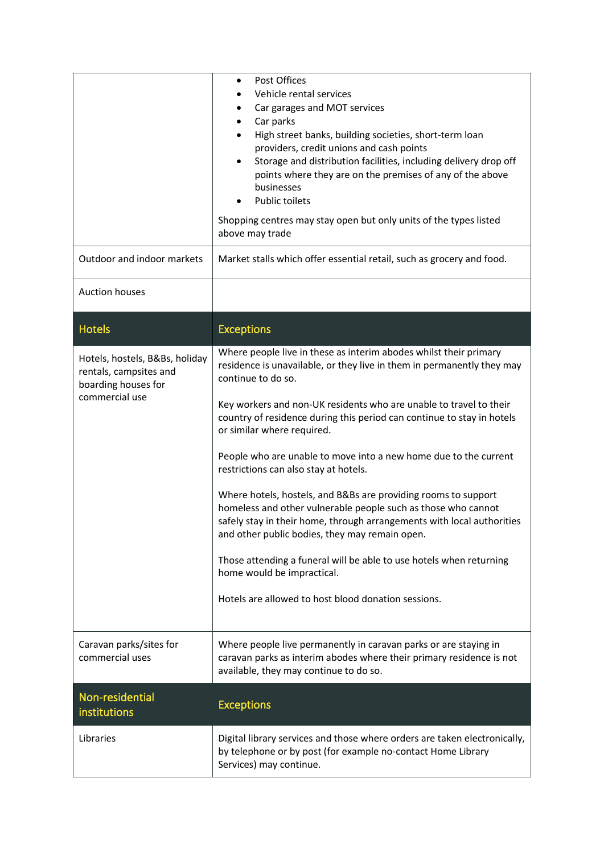| Outdoor and indoor markets                                                                        | Post Offices<br>$\bullet$<br>Vehicle rental services<br>Car garages and MOT services<br>٠<br>Car parks<br>٠<br>High street banks, building societies, short-term loan<br>providers, credit unions and cash points<br>Storage and distribution facilities, including delivery drop off<br>$\bullet$<br>points where they are on the premises of any of the above<br>businesses<br><b>Public toilets</b><br>Shopping centres may stay open but only units of the types listed<br>above may trade<br>Market stalls which offer essential retail, such as grocery and food.                                                                                                                                                                                                                                                                                                                 |
|---------------------------------------------------------------------------------------------------|-----------------------------------------------------------------------------------------------------------------------------------------------------------------------------------------------------------------------------------------------------------------------------------------------------------------------------------------------------------------------------------------------------------------------------------------------------------------------------------------------------------------------------------------------------------------------------------------------------------------------------------------------------------------------------------------------------------------------------------------------------------------------------------------------------------------------------------------------------------------------------------------|
| <b>Auction houses</b>                                                                             |                                                                                                                                                                                                                                                                                                                                                                                                                                                                                                                                                                                                                                                                                                                                                                                                                                                                                         |
| <b>Hotels</b>                                                                                     | <b>Exceptions</b>                                                                                                                                                                                                                                                                                                                                                                                                                                                                                                                                                                                                                                                                                                                                                                                                                                                                       |
| Hotels, hostels, B&Bs, holiday<br>rentals, campsites and<br>boarding houses for<br>commercial use | Where people live in these as interim abodes whilst their primary<br>residence is unavailable, or they live in them in permanently they may<br>continue to do so.<br>Key workers and non-UK residents who are unable to travel to their<br>country of residence during this period can continue to stay in hotels<br>or similar where required.<br>People who are unable to move into a new home due to the current<br>restrictions can also stay at hotels.<br>Where hotels, hostels, and B&Bs are providing rooms to support<br>homeless and other vulnerable people such as those who cannot<br>safely stay in their home, through arrangements with local authorities<br>and other public bodies, they may remain open.<br>Those attending a funeral will be able to use hotels when returning<br>home would be impractical.<br>Hotels are allowed to host blood donation sessions. |
| Caravan parks/sites for<br>commercial uses                                                        | Where people live permanently in caravan parks or are staying in<br>caravan parks as interim abodes where their primary residence is not<br>available, they may continue to do so.                                                                                                                                                                                                                                                                                                                                                                                                                                                                                                                                                                                                                                                                                                      |
| Non-residential<br>institutions                                                                   | <b>Exceptions</b>                                                                                                                                                                                                                                                                                                                                                                                                                                                                                                                                                                                                                                                                                                                                                                                                                                                                       |
| Libraries                                                                                         | Digital library services and those where orders are taken electronically,<br>by telephone or by post (for example no-contact Home Library<br>Services) may continue.                                                                                                                                                                                                                                                                                                                                                                                                                                                                                                                                                                                                                                                                                                                    |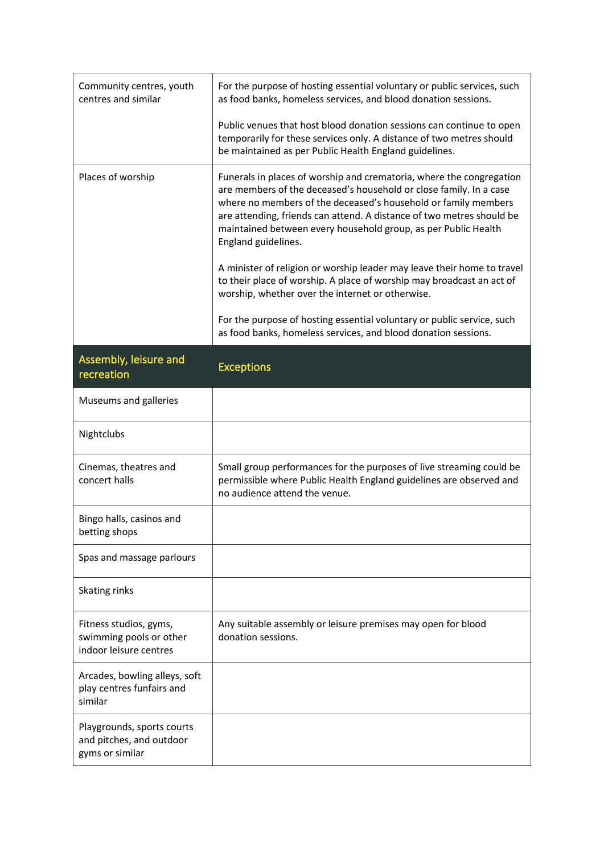| Community centres, youth<br>centres and similar                             | For the purpose of hosting essential voluntary or public services, such<br>as food banks, homeless services, and blood donation sessions.                                                                                                                                                                                                                                      |
|-----------------------------------------------------------------------------|--------------------------------------------------------------------------------------------------------------------------------------------------------------------------------------------------------------------------------------------------------------------------------------------------------------------------------------------------------------------------------|
|                                                                             | Public venues that host blood donation sessions can continue to open<br>temporarily for these services only. A distance of two metres should<br>be maintained as per Public Health England guidelines.                                                                                                                                                                         |
| Places of worship                                                           | Funerals in places of worship and crematoria, where the congregation<br>are members of the deceased's household or close family. In a case<br>where no members of the deceased's household or family members<br>are attending, friends can attend. A distance of two metres should be<br>maintained between every household group, as per Public Health<br>England guidelines. |
|                                                                             | A minister of religion or worship leader may leave their home to travel<br>to their place of worship. A place of worship may broadcast an act of<br>worship, whether over the internet or otherwise.                                                                                                                                                                           |
|                                                                             | For the purpose of hosting essential voluntary or public service, such<br>as food banks, homeless services, and blood donation sessions.                                                                                                                                                                                                                                       |
| Assembly, leisure and<br>recreation                                         | <b>Exceptions</b>                                                                                                                                                                                                                                                                                                                                                              |
| Museums and galleries                                                       |                                                                                                                                                                                                                                                                                                                                                                                |
| Nightclubs                                                                  |                                                                                                                                                                                                                                                                                                                                                                                |
| Cinemas, theatres and<br>concert halls                                      | Small group performances for the purposes of live streaming could be<br>permissible where Public Health England guidelines are observed and<br>no audience attend the venue.                                                                                                                                                                                                   |
| Bingo halls, casinos and<br>betting shops                                   |                                                                                                                                                                                                                                                                                                                                                                                |
| Spas and massage parlours                                                   |                                                                                                                                                                                                                                                                                                                                                                                |
| Skating rinks                                                               |                                                                                                                                                                                                                                                                                                                                                                                |
| Fitness studios, gyms,<br>swimming pools or other<br>indoor leisure centres | Any suitable assembly or leisure premises may open for blood<br>donation sessions.                                                                                                                                                                                                                                                                                             |
| Arcades, bowling alleys, soft<br>play centres funfairs and<br>similar       |                                                                                                                                                                                                                                                                                                                                                                                |
| Playgrounds, sports courts<br>and pitches, and outdoor<br>gyms or similar   |                                                                                                                                                                                                                                                                                                                                                                                |